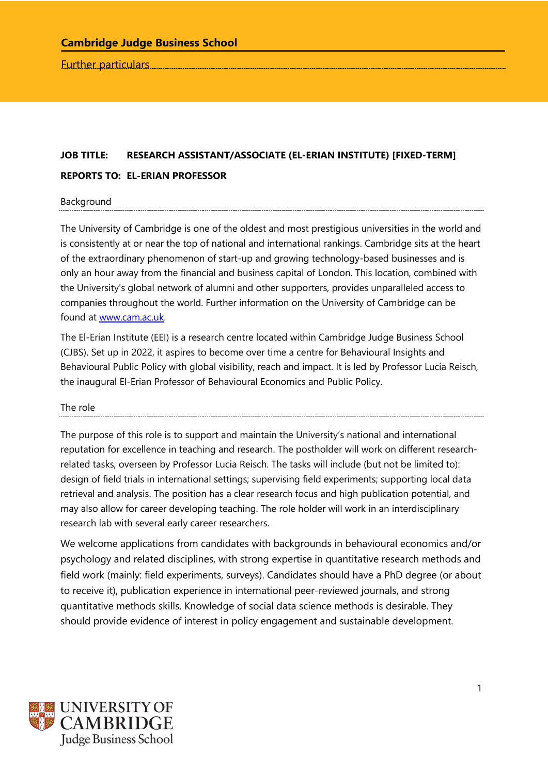Further particulars

# **JOB TITLE: RESEARCH ASSISTANT/ASSOCIATE (EL-ERIAN INSTITUTE) [FIXED-TERM] REPORTS TO: EL-ERIAN PROFESSOR**

#### **Background**

The University of Cambridge is one of the oldest and most prestigious universities in the world and is consistently at or near the top of national and international rankings. Cambridge sits at the heart of the extraordinary phenomenon of start-up and growing technology-based businesses and is only an hour away from the financial and business capital of London. This location, combined with the University's global network of alumni and other supporters, provides unparalleled access to companies throughout the world. Further information on the University of Cambridge can be found at www.cam.ac.uk.

The El-Erian Institute (EEI) is a research centre located within Cambridge Judge Business School (CJBS). Set up in 2022, it aspires to become over time a centre for Behavioural Insights and Behavioural Public Policy with global visibility, reach and impact. It is led by Professor Lucia Reisch, the inaugural El-Erian Professor of Behavioural Economics and Public Policy.

The role

The purpose of this role is to support and maintain the University's national and international reputation for excellence in teaching and research. The postholder will work on different researchrelated tasks, overseen by Professor Lucia Reisch. The tasks will include (but not be limited to): design of field trials in international settings; supervising field experiments; supporting local data retrieval and analysis. The position has a clear research focus and high publication potential, and may also allow for career developing teaching. The role holder will work in an interdisciplinary research lab with several early career researchers.

We welcome applications from candidates with backgrounds in behavioural economics and/or psychology and related disciplines, with strong expertise in quantitative research methods and field work (mainly: field experiments, surveys). Candidates should have a PhD degree (or about to receive it), publication experience in international peer-reviewed journals, and strong quantitative methods skills. Knowledge of social data science methods is desirable. They should provide evidence of interest in policy engagement and sustainable development.

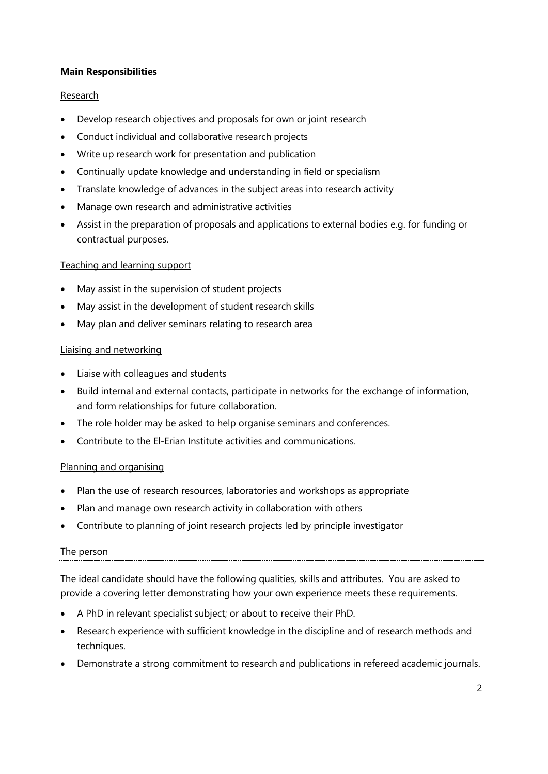## **Main Responsibilities**

## **Research**

- Develop research objectives and proposals for own or joint research
- Conduct individual and collaborative research projects
- Write up research work for presentation and publication
- Continually update knowledge and understanding in field or specialism
- Translate knowledge of advances in the subject areas into research activity
- Manage own research and administrative activities
- Assist in the preparation of proposals and applications to external bodies e.g. for funding or contractual purposes.

#### Teaching and learning support

- May assist in the supervision of student projects
- May assist in the development of student research skills
- May plan and deliver seminars relating to research area

## Liaising and networking

- Liaise with colleagues and students
- Build internal and external contacts, participate in networks for the exchange of information, and form relationships for future collaboration.
- The role holder may be asked to help organise seminars and conferences.
- Contribute to the El-Erian Institute activities and communications.

#### Planning and organising

- Plan the use of research resources, laboratories and workshops as appropriate
- Plan and manage own research activity in collaboration with others
- Contribute to planning of joint research projects led by principle investigator

#### The person

The ideal candidate should have the following qualities, skills and attributes. You are asked to provide a covering letter demonstrating how your own experience meets these requirements.

- A PhD in relevant specialist subject; or about to receive their PhD.
- Research experience with sufficient knowledge in the discipline and of research methods and techniques.
- Demonstrate a strong commitment to research and publications in refereed academic journals.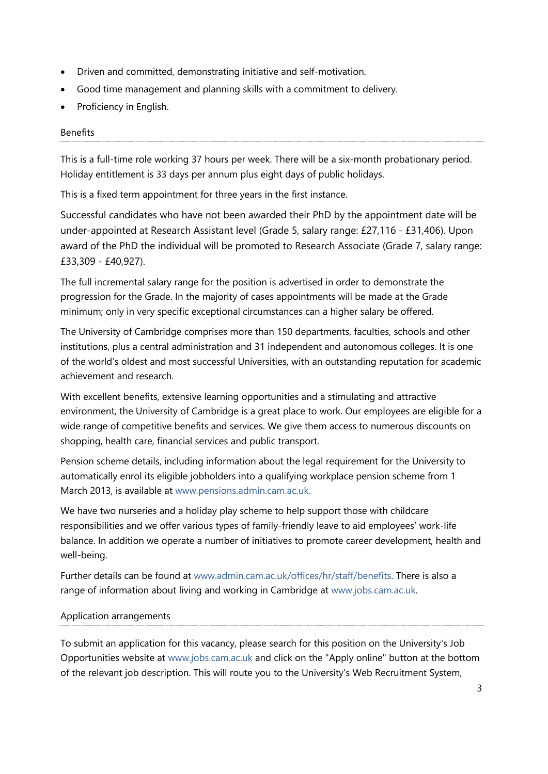- Driven and committed, demonstrating initiative and self-motivation.
- Good time management and planning skills with a commitment to delivery.
- Proficiency in English.

#### Benefits

This is a full-time role working 37 hours per week. There will be a six-month probationary period. Holiday entitlement is 33 days per annum plus eight days of public holidays.

This is a fixed term appointment for three years in the first instance.

Successful candidates who have not been awarded their PhD by the appointment date will be under-appointed at Research Assistant level (Grade 5, salary range: £27,116 - £31,406). Upon award of the PhD the individual will be promoted to Research Associate (Grade 7, salary range: £33,309 - £40,927).

The full incremental salary range for the position is advertised in order to demonstrate the progression for the Grade. In the majority of cases appointments will be made at the Grade minimum; only in very specific exceptional circumstances can a higher salary be offered.

The University of Cambridge comprises more than 150 departments, faculties, schools and other institutions, plus a central administration and 31 independent and autonomous colleges. It is one of the world's oldest and most successful Universities, with an outstanding reputation for academic achievement and research.

With excellent benefits, extensive learning opportunities and a stimulating and attractive environment, the University of Cambridge is a great place to work. Our employees are eligible for a wide range of competitive benefits and services. We give them access to numerous discounts on shopping, health care, financial services and public transport.

Pension scheme details, including information about the legal requirement for the University to automatically enrol its eligible jobholders into a qualifying workplace pension scheme from 1 March 2013, is available at www.pensions.admin.cam.ac.uk.

We have two nurseries and a holiday play scheme to help support those with childcare responsibilities and we offer various types of family-friendly leave to aid employees' work-life balance. In addition we operate a number of initiatives to promote career development, health and well-being.

Further details can be found at www.admin.cam.ac.uk/offices/hr/staff/benefits. There is also a range of information about living and working in Cambridge at www.jobs.cam.ac.uk.

#### Application arrangements

To submit an application for this vacancy, please search for this position on the University's Job Opportunities website at www.jobs.cam.ac.uk and click on the "Apply online" button at the bottom of the relevant job description. This will route you to the University's Web Recruitment System,